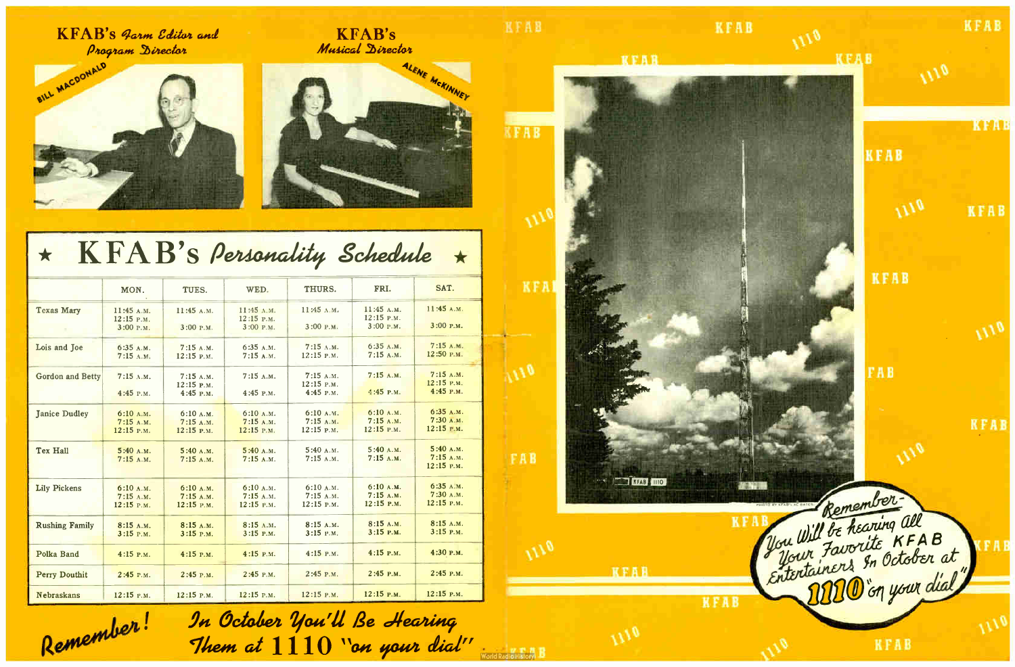$\mathbf{KFAB}$ 'S Farm Editor and ' Program Director







## $K F A B's$  Personality Schedule  $\star$  $\star$

|                         | MON.                       | TUES.                       | WED.                     | THURS.                    | FRI.                       | SAT.                        |
|-------------------------|----------------------------|-----------------------------|--------------------------|---------------------------|----------------------------|-----------------------------|
| <b>Texas Mary</b>       | 11:45 A.M.<br>$12:15$ P.M. | 11:45 A.M.                  | 11:45 л.м.<br>12:15 P.M. | 11:45 A.M.                | 11:45 A.M.<br>$12:15$ P.M. | 11:45A.M.                   |
|                         | 3:00 P.M.                  | 3:00 P.M.                   | 3:00 P.M.                | 3:00 P.M.                 | 3:00 P.M.                  | $3:00$ P.M.                 |
| Lois and Joe            | 6:35A.M.                   | 7:15A.M.                    | 6:35 A.M.                | 7:15A.M.                  | 6:35 A.M.                  | 7:15A.M.                    |
|                         | $7:15$ A.M.                | 12:15 P.M.                  | 7:15A.M.                 | $12:15$ P.M.              | 7:15A.M.                   | 12:50 P.M.                  |
| <b>Gordon and Betty</b> | $7:15$ A.M.                | 7:15A.M.                    | 7:15A.M.                 | 7:15A.M.                  | 7:15A.M.                   | 7:15A.M.                    |
|                         | $4:45$ P.M.                | $12:15$ P.M.<br>$4:45$ P.M. | 4:45 P.M.                | 12:15 P.M.<br>$4:45$ P.M. | $4:45$ P.M.                | $12:15$ P.M.<br>$4:45$ P.M. |
|                         |                            |                             |                          |                           |                            |                             |
| <b>Janice Dudley</b>    | 6:10 A.M.                  | 6:10 A.M.                   | 6:10A.M.                 | 6:10 A.M.                 | 6:10 A.M.                  | 6:35A.M.                    |
|                         | 7:15A.M.                   | 7:15A.M.                    | 7:15A.M.<br>12:15 P.M.   | $7:15$ A.M.<br>12:15 P.M. | 7:15A.M.<br>12:15 P.M.     | 7:30 А.М.<br>$12:15$ P.M.   |
|                         | 12:15 P.M.                 | 12:15 P.M.                  |                          |                           |                            |                             |
| Tex Hall                | 5:40 A.M.                  | 5:40A.M.                    | 5:40 A.M.                | 5:40 A.M.                 | 5:40 A.M.                  | 5:40 A.M.                   |
|                         | 7:15A.M.                   | 7:15A.M.                    | 7:15A.M.                 | 7:15A.M.                  | 7:15A.M.                   | 7:15A.M.<br>12:15 P.M.      |
|                         |                            |                             |                          |                           |                            |                             |
| <b>Lily Pickens</b>     | 6:10 A.M.                  | 6:10 A.M.                   | 6:10 A.M.                | 6:10 A.M.                 | 6:10 A.M.                  | 6:35A.M.                    |
|                         | 7:15A.M.                   | 7:15A.M.                    | 7:15 A.M.                | 7:15 A.M.                 | 7:15A.M.                   | 7:30A.M.                    |
|                         | $12:15$ P.M.               | 12:15 P.M.                  | 12:15 P.M.               | 12:15 P.M.                | $12:15$ P.M.               | 12:15 P.M.                  |
| <b>Rushing Family</b>   | 8:15 A.M.                  | 8:15 A.M.                   | 8:15 A.M.                | 8:15 A.M.                 | 8:15 A.M.                  | 8:15 A.M.                   |
|                         | $3:15$ P.M.                | $3:15$ P.M.                 | 3:15 P.M.                | $3:15$ P.M.               | $3:15$ P.M.                | $3:15$ P.M.                 |
| Polka Band              | $4:15$ P.M.                | $4:15$ P.M.                 | 4:15 P.M.                | $4:15$ P.M.               | $4:15$ P.M.                | 4:30 P.M.                   |
| <b>Perry Douthit</b>    | 2:45 P.M.                  | 2:45 P.M.                   | $2:45$ P.M.              | $2:45$ P.M.               | $2:45$ P.M.                | $2:45$ P.M.                 |
| <b>Nebraskans</b>       | 12:15 P.M.                 | $12:15$ P.M.                | $12:15$ P.M.             | 12:15 P.M.                | 12:15 P.M.                 | 12:15 P.M.                  |



Remember! In October You'll Be Hearing Them at  $1110$  "on your dial"